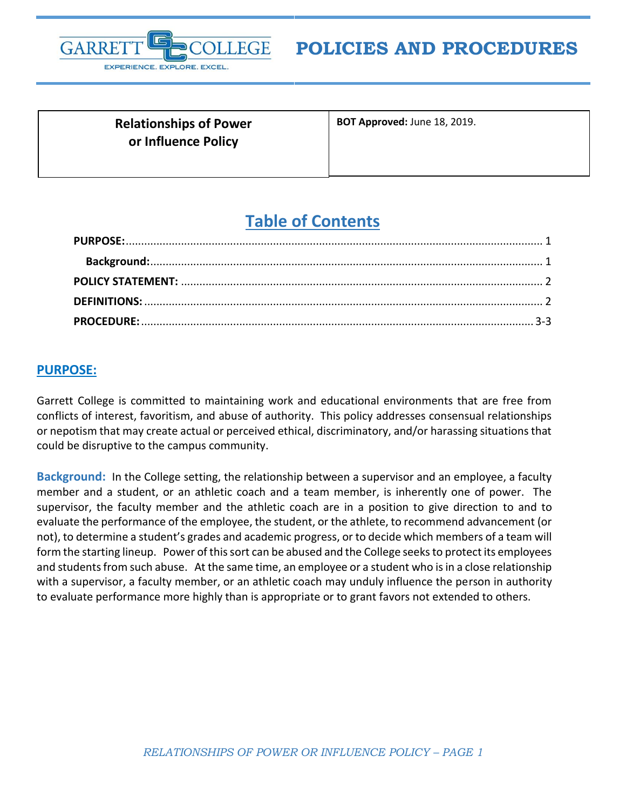

**POLICIES AND PROCEDURES**

**Relationships of Power or Influence Policy**

**BOT Approved:** June 18, 2019.

# **Table of Contents**

### <span id="page-0-0"></span>**PURPOSE:**

Garrett College is committed to maintaining work and educational environments that are free from conflicts of interest, favoritism, and abuse of authority. This policy addresses consensual relationships or nepotism that may create actual or perceived ethical, discriminatory, and/or harassing situations that could be disruptive to the campus community.

<span id="page-0-2"></span><span id="page-0-1"></span>**Background:** In the College setting, the relationship between a supervisor and an employee, a faculty member and a student, or an athletic coach and a team member, is inherently one of power. The supervisor, the faculty member and the athletic coach are in a position to give direction to and to evaluate the performance of the employee, the student, or the athlete, to recommend advancement (or not), to determine a student's grades and academic progress, or to decide which members of a team will form the starting lineup. Power of this sort can be abused and the College seeks to protect its employees and students from such abuse. At the same time, an employee or a student who is in a close relationship with a supervisor, a faculty member, or an athletic coach may unduly influence the person in authority to evaluate performance more highly than is appropriate or to grant favors not extended to others.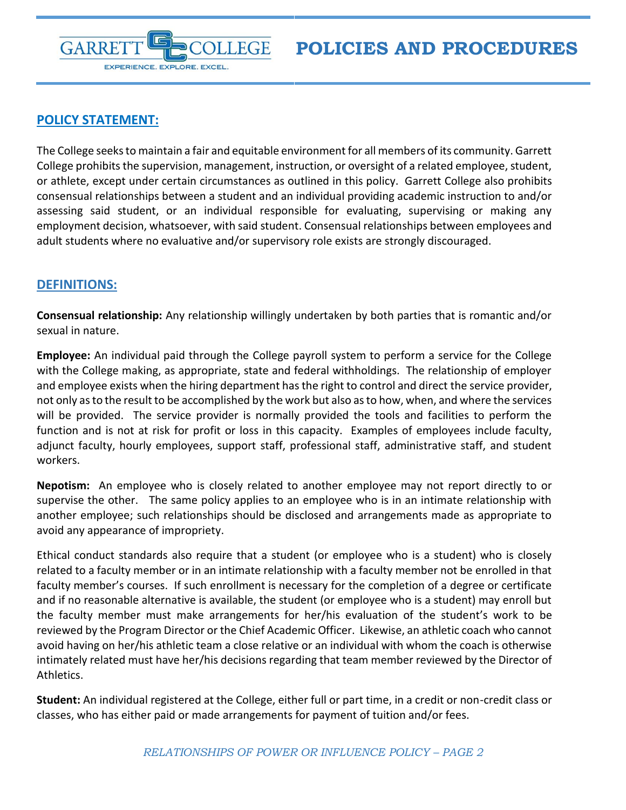

## **POLICY STATEMENT:**

The College seeks to maintain a fair and equitable environment for all members of its community. Garrett College prohibits the supervision, management, instruction, or oversight of a related employee, student, or athlete, except under certain circumstances as outlined in this policy. Garrett College also prohibits consensual relationships between a student and an individual providing academic instruction to and/or assessing said student, or an individual responsible for evaluating, supervising or making any employment decision, whatsoever, with said student. Consensual relationships between employees and adult students where no evaluative and/or supervisory role exists are strongly discouraged.

### <span id="page-1-0"></span>**DEFINITIONS:**

**Consensual relationship:** Any relationship willingly undertaken by both parties that is romantic and/or sexual in nature.

**Employee:** An individual paid through the College payroll system to perform a service for the College with the College making, as appropriate, state and federal withholdings. The relationship of employer and employee exists when the hiring department has the right to control and direct the service provider, not only as to the result to be accomplished by the work but also as to how, when, and where the services will be provided. The service provider is normally provided the tools and facilities to perform the function and is not at risk for profit or loss in this capacity. Examples of employees include faculty, adjunct faculty, hourly employees, support staff, professional staff, administrative staff, and student workers.

**Nepotism:** An employee who is closely related to another employee may not report directly to or supervise the other. The same policy applies to an employee who is in an intimate relationship with another employee; such relationships should be disclosed and arrangements made as appropriate to avoid any appearance of impropriety.

Ethical conduct standards also require that a student (or employee who is a student) who is closely related to a faculty member or in an intimate relationship with a faculty member not be enrolled in that faculty member's courses. If such enrollment is necessary for the completion of a degree or certificate and if no reasonable alternative is available, the student (or employee who is a student) may enroll but the faculty member must make arrangements for her/his evaluation of the student's work to be reviewed by the Program Director or the Chief Academic Officer. Likewise, an athletic coach who cannot avoid having on her/his athletic team a close relative or an individual with whom the coach is otherwise intimately related must have her/his decisions regarding that team member reviewed by the Director of Athletics.

**Student:** An individual registered at the College, either full or part time, in a credit or non-credit class or classes, who has either paid or made arrangements for payment of tuition and/or fees.